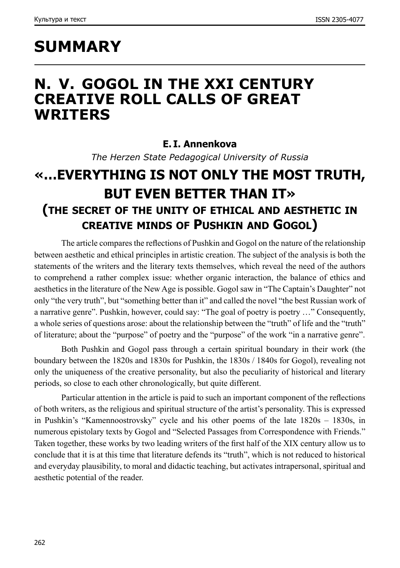# **SUMMARY**

### **N. V. GOGOL IN THE XXI CENTURY CREATIVE ROLL CALLS OF GREAT WRITERS**

#### **E. I. Annenkova**

*The Herzen State Pedagogical University of Russia*

### **«…EVERYTHING IS NOT ONLY THE MOST TRUTH, BUT EVEN BETTER THAN IT» (the secret of the unity of ethical and aesthetic in creative minds of Pushkin and Gogol)**

The article compares the reflections of Pushkin and Gogol on the nature of the relationship between aesthetic and ethical principles in artistic creation. The subject of the analysis is both the statements of the writers and the literary texts themselves, which reveal the need of the authors to comprehend a rather complex issue: whether organic interaction, the balance of ethics and aesthetics in the literature of the New Age is possible. Gogol saw in "The Captain's Daughter" not only "the very truth", but "something better than it" and called the novel "the best Russian work of a narrative genre". Pushkin, however, could say: "The goal of poetry is poetry …" Consequently, a whole series of questions arose: about the relationship between the "truth" of life and the "truth" of literature; about the "purpose" of poetry and the "purpose" of the work "in a narrative genre".

Both Pushkin and Gogol pass through a certain spiritual boundary in their work (the boundary between the 1820s and 1830s for Pushkin, the 1830s / 1840s for Gogol), revealing not only the uniqueness of the creative personality, but also the peculiarity of historical and literary periods, so close to each other chronologically, but quite different.

Particular attention in the article is paid to such an important component of the reflections of both writers, as the religious and spiritual structure of the artist's personality. This is expressed in Pushkin's "Kamennoostrovsky" cycle and his other poems of the late 1820s – 1830s, in numerous epistolary texts by Gogol and "Selected Passages from Correspondence with Friends." Taken together, these works by two leading writers of the first half of the XIX century allow us to conclude that it is at this time that literature defends its "truth", which is not reduced to historical and everyday plausibility, to moral and didactic teaching, but activates intrapersonal, spiritual and aesthetic potential of the reader.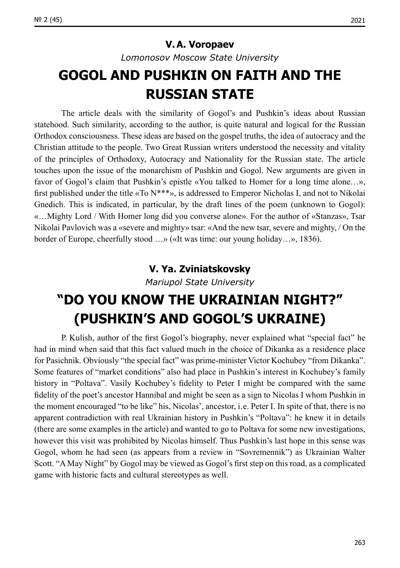#### **V.A. Voropaev**

*Lomonosov Moscow State University*

## **GOGOL AND PUSHKIN ON FAITH AND THE RUSSIAN STATE**

The article deals with the similarity of Gogol's and Pushkin's ideas about Russian statehood. Such similarity, according to the author, is quite natural and logical for the Russian Orthodox consciousness. These ideas are based on the gospel truths, the idea of autocracy and the Christian attitude to the people. Two Great Russian writers understood the necessity and vitality of the principles of Orthodoxy, Autocracy and Nationality for the Russian state. The article touches upon the issue of the monarchism of Pushkin and Gogol. New arguments are given in favor of Gogol's claim that Pushkin's epistle «You talked to Homer for a long time alone…», first published under the title «To N\*\*\*», is addressed to Emperor Nicholas I, and not to Nikolai Gnedich. This is indicated, in particular, by the draft lines of the poem (unknown to Gogol): «…Mighty Lord / With Homer long did you converse alone». For the author of «Stanzas», Tsar Nikolai Pavlovich was a «severe and mighty» tsar: «And the new tsar, severe and mighty, / On the border of Europe, cheerfully stood …» («It was time: our young holiday…», 1836).

#### **V. Ya. Zviniatskovsky**

*Mariupol State University*

## **"DO YOU KNOW THE UKRAINIAN NIGHT?" (PUSHKIN'S AND GOGOL'S UKRAINЕ)**

P. Kulish, author of the first Gogol's biography, never explained what "special fact" he had in mind when said that this fact valued much in the choice of Dikanka as a residence place for Pasichnik. Obviously "the special fact" was prime-minister Victor Kochubey "from Dikanka". Some features of "market conditions" also had place in Pushkin's interest in Kochubey's family history in "Poltava". Vasily Kochubey's fidelity to Peter I might be compared with the same fidelity of the poet's ancestor Hannibal and might be seen as a sign to Nicolas I whom Pushkin in the moment encouraged "to be like" his, Nicolas', ancestor, i. e. Peter I. In spite of that, there is no apparent [contradiction](https://context.reverso.net/%D0%BF%D0%B5%D1%80%D0%B5%D0%B2%D0%BE%D0%B4/%D0%B0%D0%BD%D0%B3%D0%BB%D0%B8%D0%B9%D1%81%D0%BA%D0%B8%D0%B9-%D1%80%D1%83%D1%81%D1%81%D0%BA%D0%B8%D0%B9/contradiction) with real Ukrainian history in Pushkin's "Poltava": he knew it in details (there are some examples in the article) and wanted to go to Poltava for some new investigations, however this visit was prohibited by Nicolas himself. Thus Pushkin's last hope in this sense was Gogol, whom he had seen (as appears from a review in "Sovremennik") as Ukrainian Walter Scott. "A May Night" by Gogol may be viewed as Gogol's first step on this road, as a complicated game with historic facts and cultural stereotypes as well.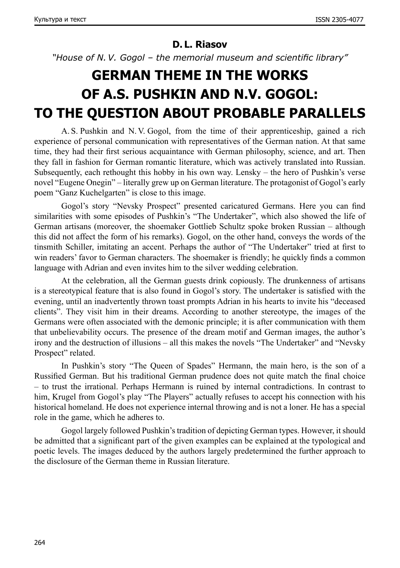#### **D. L. Riasov**

*"House of N. V. Gogol – the memorial museum and scientific library"*

## **GERMAN THEME IN THE WORKS OF A.S. PUSHKIN AND N.V. GOGOL: TO THE QUESTION ABOUT PROBABLE PARALLELS**

A. S. Pushkin and N. V. Gogol, from the time of their apprenticeship, gained a rich experience of personal communication with representatives of the German nation. At that same time, they had their first serious acquaintance with German philosophy, science, and art. Then they fall in fashion for German romantic literature, which was actively translated into Russian. Subsequently, each rethought this hobby in his own way. Lensky – the hero of Pushkin's verse novel "Eugene Onegin" – literally grew up on German literature. The protagonist of Gogol's early poem "Ganz Kuchelgarten" is close to this image.

Gogol's story "Nevsky Prospect" presented caricatured Germans. Here you can find similarities with some episodes of Pushkin's "The Undertaker", which also showed the life of German artisans (moreover, the shoemaker Gottlieb Schultz spoke broken Russian – although this did not affect the form of his remarks). Gogol, on the other hand, conveys the words of the tinsmith Schiller, imitating an accent. Perhaps the author of "The Undertaker" tried at first to win readers' favor to German characters. The shoemaker is friendly; he quickly finds a common language with Adrian and even invites him to the silver wedding celebration.

At the celebration, all the German guests drink copiously. The drunkenness of artisans is a stereotypical feature that is also found in Gogol's story. The undertaker is satisfied with the evening, until an inadvertently thrown toast prompts Adrian in his hearts to invite his "deceased clients". They visit him in their dreams. According to another stereotype, the images of the Germans were often associated with the demonic principle; it is after communication with them that unbelievability occurs. The presence of the dream motif and German images, the author's irony and the destruction of illusions – all this makes the novels "The Undertaker" and "Nevsky Prospect" related.

In Pushkin's story "The Queen of Spades" Hermann, the main hero, is the son of a Russified German. But his traditional German prudence does not quite match the final choice – to trust the irrational. Perhaps Hermann is ruined by internal contradictions. In contrast to him, Krugel from Gogol's play "The Players" actually refuses to accept his connection with his historical homeland. He does not experience internal throwing and is not a loner. He has a special role in the game, which he adheres to.

Gogol largely followed Pushkin's tradition of depicting German types. However, it should be admitted that a significant part of the given examples can be explained at the typological and poetic levels. The images deduced by the authors largely predetermined the further approach to the disclosure of the German theme in Russian literature.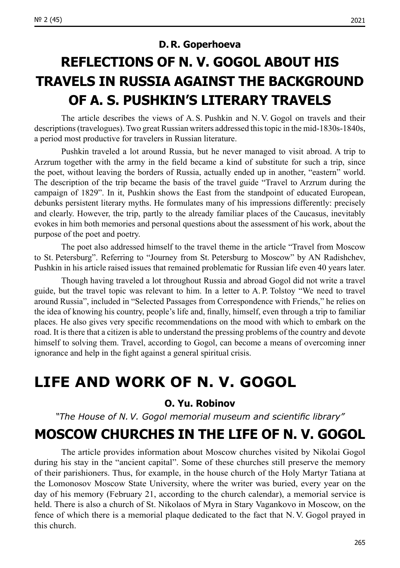#### **D. R. Goperhoeva**

## **REFLECTIONS OF N. V. GOGOL ABOUT HIS TRAVELS IN RUSSIA AGAINST THE BACKGROUND OF A. S. PUSHKIN'S LITERARY TRAVELS**

The article describes the views of A. S. Pushkin and N. V. Gogol on travels and their descriptions (travelogues). Two great Russian writers addressed this topic in the mid-1830s–1840s, a period most productive for travelers in Russian literature.

Pushkin traveled a lot around Russia, but he never managed to visit abroad. A trip to Arzrum together with the army in the field became a kind of substitute for such a trip, since the poet, without leaving the borders of Russia, actually ended up in another, "eastern" world. The description of the trip became the basis of the travel guide "Travel to Arzrum during the campaign of 1829". In it, Pushkin shows the East from the standpoint of educated European, debunks persistent literary myths. He formulates many of his impressions differently: precisely and clearly. However, the trip, partly to the already familiar places of the Caucasus, inevitably evokes in him both memories and personal questions about the assessment of his work, about the purpose of the poet and poetry.

The poet also addressed himself to the travel theme in the article "Travel from Moscow to St. Petersburg". Referring to "Journey from St. Petersburg to Moscow" by AN Radishchev, Pushkin in his article raised issues that remained problematic for Russian life even 40 years later.

Though having traveled a lot throughout Russia and abroad Gogol did not write a travel guide, but the travel topic was relevant to him. In a letter to A. P. Tolstoy "We need to travel around Russia", included in "Selected Passages from Correspondence with Friends," he relies on the idea of knowing his country, people's life and, finally, himself, even through a trip to familiar places. He also gives very specific recommendations on the mood with which to embark on the road. It is there that a citizen is able to understand the pressing problems of the country and devote himself to solving them. Travel, according to Gogol, can become a means of overcoming inner ignorance and help in the fight against a general spiritual crisis.

### **LIFE AND WORK OF N. V. GOGOL**

#### **O. Yu. Robinov**

*"The House of N. V. Gogol memorial museum and scientific library"*

### **MOSCOW CHURCHES IN THE LIFE OF N. V. GOGOL**

The article provides information about Moscow churches visited by Nikolai Gogol during his stay in the "ancient capital". Some of these churches still preserve the memory of their parishioners. Thus, for example, in the house church of the Holy Martyr Tatiana at the Lomonosov Moscow State University, where the writer was buried, every year on the day of his memory (February 21, according to the church calendar), a memorial service is held. There is also a church of St. Nikolaos of Myra in Stary Vagankovo in Moscow, on the fence of which there is a memorial plaque dedicated to the fact that N.V. Gogol prayed in this church.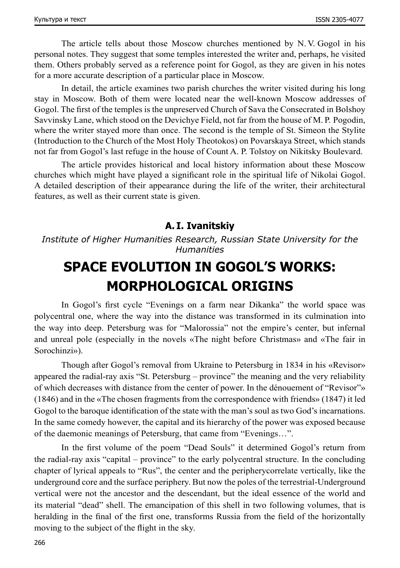The article tells about those Moscow churches mentioned by N. V. Gogol in his personal notes. They suggest that some temples interested the writer and, perhaps, he visited them. Others probably served as a reference point for Gogol, as they are given in his notes for a more accurate description of a particular place in Moscow.

In detail, the article examines two parish churches the writer visited during his long stay in Moscow. Both of them were located near the well-known Moscow addresses of Gogol. The first of the temples is the unpreserved Church of Sava the Consecrated in Bolshoy Savvinsky Lane, which stood on the Devichye Field, not far from the house of M. P. Pogodin, where the writer stayed more than once. The second is the temple of St. Simeon the Stylite (Introduction to the Church of the Most Holy Theotokos) on Povarskaya Street, which stands not far from Gogol's last refuge in the house of Count A. P. Tolstoy on Nikitsky Boulevard.

The article provides historical and local history information about these Moscow churches which might have played a significant role in the spiritual life of Nikolai Gogol. A detailed description of their appearance during the life of the writer, their architectural features, as well as their current state is given.

#### **А. I. Ivanitskiy**

*Institute of Higher Humanities Research, Russian State University for the Humanities*

## **SPACE EVOLUTION IN GOGOL'S WORKS: MORPHOLOGICAL ORIGINS**

In Gogol's first cycle "Evenings on a farm near Dikanka" the world space was polycentral one, where the way into the distance was transformed in its culmination into the way into deep. Petersburg was for "Malorossia" not the empire's center, but infernal and unreal pole (especially in the novels «The night before Christmas» and «The fair in Sorochinzi»).

Though after Gogol's removal from Ukraine to Petersburg in 1834 in his «Revisor» appeared the radial-ray axis "St. Petersburg – province" the meaning and the very reliability of which decreases with distance from the center of power. In the dénouement of "Revisor"» (1846) and in the «The chosen fragments from the correspondence with friends» (1847) it led Gogol to the baroque identification of the state with the man's soul as two God's incarnations. In the same comedy however, the capital and its hierarchy of the power was exposed because of the daemonic meanings of Petersburg, that came from "Evenings…".

In the first volume of the poem "Dead Souls" it determined Gogol's return from the radial-ray axis "capital – province" to the early polycentral structure. In the concluding chapter of lyrical appeals to "Rus", the center and the peripherycorrelate vertically, like the underground core and the surface periphery. But now the poles of the terrestrial-Underground vertical were not the ancestor and the descendant, but the ideal essence of the world and its material "dead" shell. The emancipation of this shell in two following volumes, that is heralding in the final of the first one, transforms Russia from the field of the horizontally moving to the subject of the flight in the sky.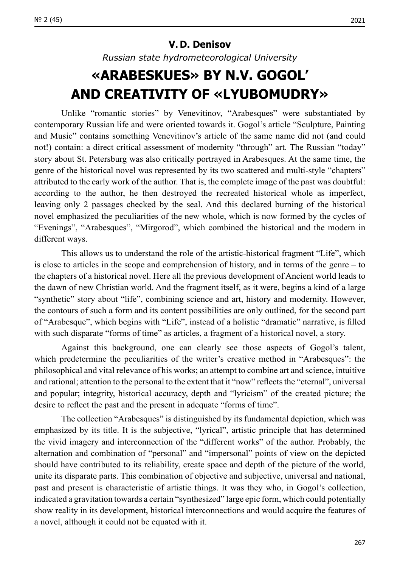#### **V. D. Denisov**

*Russian state hydrometeorological University*

## **«ARABESKUES» BY N.V. GOGOL' AND CREATIVITY OF «LYUBOMUDRY»**

Unlike "romantic stories" by Venevitinov, "Arabesques" were substantiated by contemporary Russian life and were oriented towards it. Gogol's article "Sculpture, Painting and Music" contains something Venevitinov's article of the same name did not (and could not!) contain: a direct critical assessment of modernity "through" art. The Russian "today" story about St. Petersburg was also critically portrayed in Arabesques. At the same time, the genre of the historical novel was represented by its two scattered and multi-style "chapters" attributed to the early work of the author. That is, the complete image of the past was doubtful: according to the author, he then destroyed the recreated historical whole as imperfect, leaving only 2 passages checked by the seal. And this declared burning of the historical novel emphasized the peculiarities of the new whole, which is now formed by the cycles of "Evenings", "Arabesques", "Mirgorod", which combined the historical and the modern in different ways.

This allows us to understand the role of the artistic-historical fragment "Life", which is close to articles in the scope and comprehension of history, and in terms of the genre – to the chapters of a historical novel. Here all the previous development of Ancient world leads to the dawn of new Christian world. And the fragment itself, as it were, begins a kind of a large "synthetic" story about "life", combining science and art, history and modernity. However, the contours of such a form and its content possibilities are only outlined, for the second part of "Arabesque", which begins with "Life", instead of a holistic "dramatic" narrative, is filled with such disparate "forms of time" as articles, a fragment of a historical novel, a story.

Against this background, one can clearly see those aspects of Gogol's talent, which predetermine the peculiarities of the writer's creative method in "Arabesques": the philosophical and vital relevance of his works; an attempt to combine art and science, intuitive and rational; attention to the personal to the extent that it "now" reflects the "eternal", universal and popular; integrity, historical accuracy, depth and "lyricism" of the created picture; the desire to reflect the past and the present in adequate "forms of time".

The collection "Arabesques" is distinguished by its fundamental depiction, which was emphasized by its title. It is the subjective, "lyrical", artistic principle that has determined the vivid imagery and interconnection of the "different works" of the author. Probably, the alternation and combination of "personal" and "impersonal" points of view on the depicted should have contributed to its reliability, create space and depth of the picture of the world, unite its disparate parts. This combination of objective and subjective, universal and national, past and present is characteristic of artistic things. It was they who, in Gogol's collection, indicated a gravitation towards a certain "synthesized" large epic form, which could potentially show reality in its development, historical interconnections and would acquire the features of a novel, although it could not be equated with it.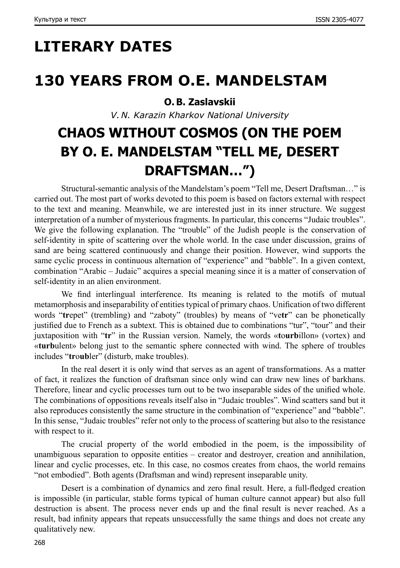# **LITERARY DATES**

### **130 YEARS FROM O.E. MANDELSTAM**

#### **O.B. Zaslavskii**

*V. N. Karazin Kharkov National University*

## **CHAOS WITHOUT COSMOS (ON THE POEM BY O. E. MANDELSTAM "TELL ME, DESERT DRAFTSMAN…")**

Structural-semantic analysis of the Mandelstam's poem "Tell me, Desert Draftsman…" is carried out. The most part of works devoted to this poem is based on factors external with respect to the text and meaning. Meanwhile, we are interested just in its inner structure. We suggest interpretation of a number of mysterious fragments. In particular, this concerns "Judaic troubles". We give the following explanation. The "trouble" of the Judish people is the conservation of self-identity in spite of scattering over the whole world. In the case under discussion, grains of sand are being scattered continuously and change their position. However, wind supports the same cyclic process in continuous alternation of "experience" and "babble". In a given context, combination "Arabic – Judaic" acquires a special meaning since it is a matter of conservation of self-identity in an alien environment.

We find interlingual interference. Its meaning is related to the motifs of mutual metamorphosis and inseparability of entities typical of primary chaos. Unification of two different words "**tr**epet" (trembling) and "zaboty" (troubles) by means of "ve**tr**" can be phonetically justified due to French as a subtext. This is obtained due to combinations "tur", "tour" and their juxtaposition with "**tr**" in the Russian version. Namely, the words «**t**o**urb**illon» (vortex) and «**turb**ulent» belong just to the semantic sphere connected with wind. The sphere of troubles includes "**tr**o**ub**ler" (disturb, make troubles).

In the real desert it is only wind that serves as an agent of transformations. As a matter of fact, it realizes the function of draftsman since only wind can draw new lines of barkhans. Therefore, linear and cyclic processes turn out to be two inseparable sides of the unified whole. The combinations of oppositions reveals itself also in "Judaic troubles". Wind scatters sand but it also reproduces consistently the same structure in the combination of "experience" and "babble". In this sense, "Judaic troubles" refer not only to the process of scattering but also to the resistance with respect to it.

The crucial property of the world embodied in the poem, is the impossibility of unambiguous separation to opposite entities – creator and destroyer, creation and annihilation, linear and cyclic processes, etc. In this case, no cosmos creates from chaos, the world remains "not embodied". Both agents (Draftsman and wind) represent inseparable unity.

Desert is a combination of dynamics and zero final result. Here, a full-fledged creation is impossible (in particular, stable forms typical of human culture cannot appear) but also full destruction is absent. The process never ends up and the final result is never reached. As a result, bad infinity appears that repeats unsuccessfully the same things and does not create any qualitatively new.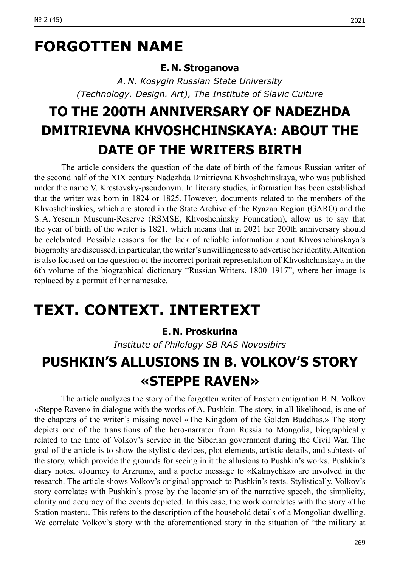## **FORGOTTEN NAME**

#### **E. N. Stroganova**

*A. N. Kosygin Russian State University (Technology. Design. Art), The Institute of Slavic Culture*

## **TO THE 200TH ANNIVERSARY OF NADEZHDA DMITRIEVNA KHVOSHCHINSKAYA: ABOUT THE DATE OF THE WRITERS BIRTH**

The article considers the question of the date of birth of the famous Russian writer of the second half of the XIX century Nadezhda Dmitrievna Khvoshchinskaya, who was published under the name V. Krestovsky-pseudonym. In literary studies, information has been established that the writer was born in 1824 or 1825. However, documents related to the members of the Khvoshchinskies, which are stored in the State Archive of the Ryazan Region (GARO) and the S.A. Yesenin Museum-Reserve (RSMSE, Khvoshchinsky Foundation), allow us to say that the year of birth of the writer is 1821, which means that in 2021 her 200th anniversary should be celebrated. Possible reasons for the lack of reliable information about Khvoshchinskaya's biography are discussed, in particular, the writer's unwillingness to advertise her identity. Attention is also focused on the question of the incorrect portrait representation of Khvoshchinskaya in the 6th volume of the biographical dictionary "Russian Writers. 1800–1917", where her image is replaced by a portrait of her namesake.

### **TEXT. CONTEXT. INTERTEXT**

#### **E. N. Proskurina**

*Institute of Philology SB RAS Novosibirs*

## **PUSHKIN'S ALLUSIONS IN B. VOLKOV'S STORY «STEPPE RAVEN»**

The article analyzes the story of the forgotten writer of Eastern emigration B. N. Volkov «Steppe Raven» in dialogue with the works of A. Pushkin. The story, in all likelihood, is one of the chapters of the writer's missing novel «The Kingdom of the Golden Buddhas.» The story depicts one of the transitions of the hero-narrator from Russia to Mongolia, biographically related to the time of Volkov's service in the Siberian government during the Civil War. The goal of the article is to show the stylistic devices, plot elements, artistic details, and subtexts of the story, which provide the grounds for seeing in it the allusions to Pushkin's works. Pushkin's diary notes, «Journey to Arzrum», and a poetic message to «Kalmychka» are involved in the research. The article shows Volkov's original approach to Pushkin's texts. Stylistically, Volkov's story correlates with Pushkin's prose by the laconicism of the narrative speech, the simplicity, clarity and accuracy of the events depicted. In this case, the work correlates with the story «The Station master». This refers to the description of the household details of a Mongolian dwelling. We correlate Volkov's story with the aforementioned story in the situation of "the military at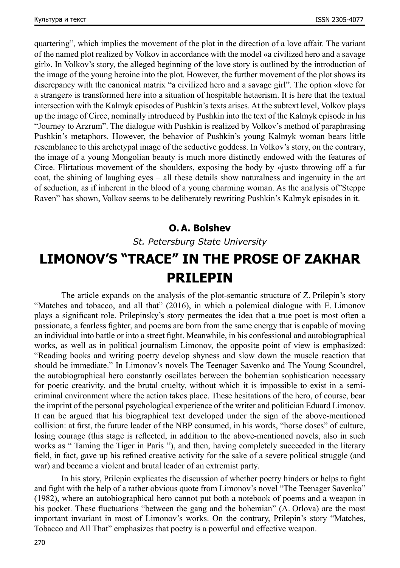quartering", which implies the movement of the plot in the direction of a love affair. The variant of the named plot realized by Volkov in accordance with the model «a civilized hero and a savage girl». In Volkov's story, the alleged beginning of the love story is outlined by the introduction of the image of the young heroine into the plot. However, the further movement of the plot shows its discrepancy with the canonical matrix "a civilized hero and a savage girl". The option «love for a stranger» is transformed here into a situation of hospitable hetaerism. It is here that the textual intersection with the Kalmyk episodes of Pushkin's texts arises. At the subtext level, Volkov plays up the image of Circe, nominally introduced by Pushkin into the text of the Kalmyk episode in his "Journey to Arzrum". The dialogue with Pushkin is realized by Volkov's method of paraphrasing Pushkin's metaphors. However, the behavior of Pushkin's young Kalmyk woman bears little resemblance to this archetypal image of the seductive goddess. In Volkov's story, on the contrary, the image of a young Mongolian beauty is much more distinctly endowed with the features of Circe. Flirtatious movement of the shoulders, exposing the body by «just» throwing off a fur coat, the shining of laughing eyes – all these details show naturalness and ingenuity in the art of seduction, as if inherent in the blood of a young charming woman. As the analysis of"Steppe Raven" has shown, Volkov seems to be deliberately rewriting Pushkin's Kalmyk episodes in it.

#### **O.A. Bolshev**

*St. Petersburg State University*

### **LIMONOV'S "TRACE" IN THE PROSE OF ZAKHAR PRILEPIN**

The article expands on the analysis of the plot-semantic structure of Z. Prilepin's story "Matches and tobacco, and all that" (2016), in which a polemical dialogue with E. Limonov plays a significant role. Prilepinsky's story permeates the idea that a true poet is most often a passionate, a fearless fighter, and poems are born from the same energy that is capable of moving an individual into battle or into a street fight. Meanwhile, in his confessional and autobiographical works, as well as in political journalism Limonov, the opposite point of view is emphasized: "Reading books and writing poetry develop shyness and slow down the muscle reaction that should be immediate." In Limonov's novels The Teenager Savenko and The Young Scoundrel, the autobiographical hero constantly oscillates between the bohemian sophistication necessary for poetic creativity, and the brutal cruelty, without which it is impossible to exist in a semicriminal environment where the action takes place. These hesitations of the hero, of course, bear the imprint of the personal psychological experience of the writer and politician Eduard Limonov. It can be argued that his biographical text developed under the sign of the above-mentioned collision: at first, the future leader of the NBP consumed, in his words, "horse doses" of culture, losing courage (this stage is reflected, in addition to the above-mentioned novels, also in such works as " Taming the Tiger in Paris "), and then, having completely succeeded in the literary field, in fact, gave up his refined creative activity for the sake of a severe political struggle (and war) and became a violent and brutal leader of an extremist party.

In his story, Prilepin explicates the discussion of whether poetry hinders or helps to fight and fight with the help of a rather obvious quote from Limonov's novel "The Teenager Savenko" (1982), where an autobiographical hero cannot put both a notebook of poems and a weapon in his pocket. These fluctuations "between the gang and the bohemian" (A. Orlova) are the most important invariant in most of Limonov's works. On the contrary, Prilepin's story "Matches, Tobacco and All That" emphasizes that poetry is a powerful and effective weapon.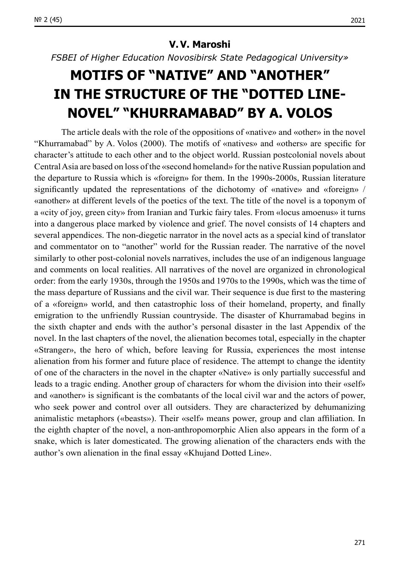*FSBEI of Higher Education Novosibirsk State Pedagogical University»*

## **MOTIFS OF "NATIVE" AND "ANOTHER" IN THE STRUCTURE OF THE "DOTTED LINE-NOVEL" "KHURRAMABAD" BY A. VOLOS**

The article deals with the role of the oppositions of «native» and «other» in the novel "Khurramabad" by A. Volos (2000). The motifs of «natives» and «others» are specific for character's attitude to each other and to the object world. Russian postcolonial novels about Central Asia are based on loss of the «second homeland» for the native Russian population and the departure to Russia which is «foreign» for them. In the 1990s‑2000s, Russian literature significantly updated the representations of the dichotomy of «native» and «foreign» / «another» at different levels of the poetics of the text. The title of the novel is a toponym of a «city of joy, green city» from Iranian and Turkic fairy tales. From «locus amoenus» it turns into a dangerous place marked by violence and grief. The novel consists of 14 chapters and several appendices. The non-diegetic narrator in the novel acts as a special kind of translator and commentator on to "another" world for the Russian reader. The narrative of the novel similarly to other post-colonial novels narratives, includes the use of an indigenous language and comments on local realities. All narratives of the novel are organized in chronological order: from the early 1930s, through the 1950s and 1970s to the 1990s, which was the time of the mass departure of Russians and the civil war. Their sequence is due first to the mastering of a «foreign» world, and then catastrophic loss of their homeland, property, and finally emigration to the unfriendly Russian countryside. The disaster of Khurramabad begins in the sixth chapter and ends with the author's personal disaster in the last Appendix of the novel. In the last chapters of the novel, the alienation becomes total, especially in the chapter «Stranger», the hero of which, before leaving for Russia, experiences the most intense alienation from his former and future place of residence. The attempt to change the identity of one of the characters in the novel in the chapter «Native» is only partially successful and leads to a tragic ending. Another group of characters for whom the division into their «self» and «another» is significant is the combatants of the local civil war and the actors of power, who seek power and control over all outsiders. They are characterized by dehumanizing animalistic metaphors («beasts»). Their «self» means power, group and clan affiliation. In the eighth chapter of the novel, a non-anthropomorphic Alien also appears in the form of a snake, which is later domesticated. The growing alienation of the characters ends with the author's own alienation in the final essay «Khujand Dotted Line».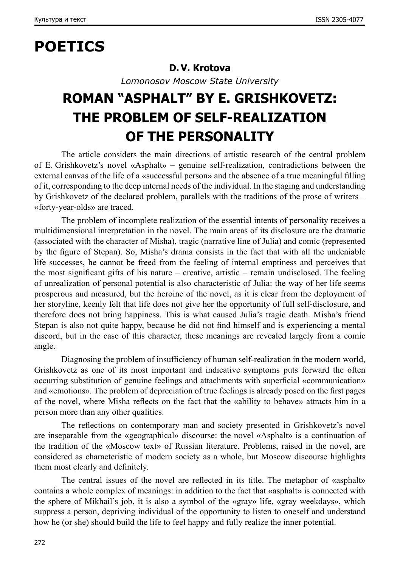## **POETICS**

#### **D.V. Krotova**

*Lomonosov Moscow State University*

# **ROMAN "ASPHALT" BY E. GRISHKOVETZ: THE PROBLEM OF SELF-REALIZATION OF THE PERSONALITY**

The article considers the main directions of artistic research of the central problem of E. Grishkovetz's novel «Asphalt» – genuine self-realization, contradictions between the external canvas of the life of a «successful person» and the absence of a true meaningful filling of it, corresponding to the deep internal needs of the individual. In the staging and understanding by Grishkovetz of the declared problem, parallels with the traditions of the prose of writers – «forty-year-olds» are traced.

The problem of incomplete realization of the essential intents of personality receives a multidimensional interpretation in the novel. The main areas of its disclosure are the dramatic (associated with the сharacter of Misha), tragic (narrative line of Julia) and comic (represented by the figure of Stepan). So, Misha's drama consists in the fact that with all the undeniable life successes, he cannot be freed from the feeling of internal emptiness and perceives that the most significant gifts of his nature – creative, artistic – remain undisclosed. The feeling of unrealization of personal potential is also characteristic of Julia: the way of her life seems prosperous and measured, but the heroine of the novel, as it is clear from the deployment of her storyline, keenly felt that life does not give her the opportunity of full self-disclosure, and therefore does not bring happiness. This is what caused Julia's tragic death. Misha's friend Stepan is also not quite happy, because he did not find himself and is experiencing a mental discord, but in the case of this character, these meanings are revealed largely from a comic angle.

Diagnosing the problem of insufficiency of human self-realization in the modern world, Grishkovetz as one of its most important and indicative symptoms puts forward the often occurring substitution of genuine feelings and attachments with superficial «communication» and «emotions». The problem of depreciation of true feelings is already posed on the first pages of the novel, where Misha reflects on the fact that the «ability to behave» attracts him in a person more than any other qualities.

The reflections on contemporary man and society presented in Grishkovetz's novel are inseparable from the «geographical» discourse: the novel «Asphalt» is a continuation of the tradition of the «Moscow text» of Russian literature. Problems, raised in the novel, are considered as characteristic of modern society as a whole, but Moscow discourse highlights them most clearly and definitely.

The central issues of the novel are reflected in its title. The metaphor of «asphalt» contains a whole complex of meanings: in addition to the fact that «asphalt» is connected with the sphere of Mikhail's job, it is also a symbol of the «gray» life, «gray weekdays», which suppress a person, depriving individual of the opportunity to listen to oneself and understand how he (or she) should build the life to feel happy and fully realize the inner potential.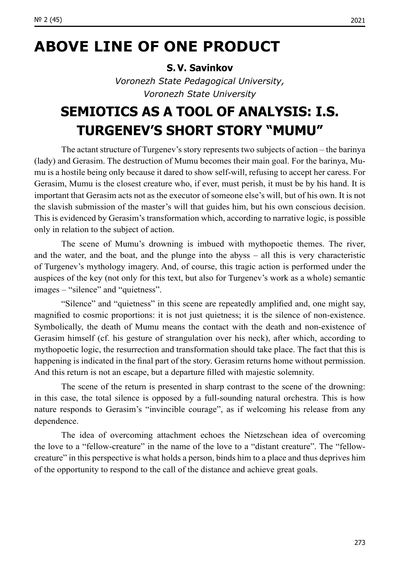## **ABOVE LINE OF ONE PRODUCT**

#### **S.V. Savinkov**

*Voronezh State Pedagogical University, Voronezh State University*

## **SEMIOTICS AS A TOOL OF ANALYSIS: I.S. TURGENEV'S SHORT STORY "MUMU"**

The actant structure of Turgenev's story represents two subjects of action – the barinya (lady) and Gerasim. The destruction of Mumu becomes their main goal. For the barinya, Mumu is a hostile being only because it dared to show self-will, refusing to accept her caress. For Gerasim, Mumu is the closest creature who, if ever, must perish, it must be by his hand. It is important that Gerasim acts not as the executor of someone else's will, but of his own. It is not the slavish submission of the master's will that guides him, but his own conscious decision. This is evidenced by Gerasim's transformation which, according to narrative logic, is possible only in relation to the subject of action.

The scene of Mumu's drowning is imbued with mythopoetic themes. The river, and the water, and the boat, and the plunge into the abyss – all this is very characteristic of Turgenev's mythology imagery. And, of course, this tragic action is performed under the auspices of the key (not only for this text, but also for Turgenev's work as a whole) semantic images – "silence" and "quietness".

"Silence" and "quietness" in this scene are repeatedly amplified and, one might say, magnified to cosmic proportions: it is not just quietness; it is the silence of non-existence. Symbolically, the death of Mumu means the contact with the death and non-existence of Gerasim himself (cf. his gesture of strangulation over his neck), after which, according to mythopoetic logic, the resurrection and transformation should take place. The fact that this is happening is indicated in the final part of the story. Gerasim returns home without permission. And this return is not an escape, but a departure filled with majestic solemnity.

The scene of the return is presented in sharp contrast to the scene of the drowning: in this case, the total silence is opposed by a full-sounding natural orchestra. This is how nature responds to Gerasim's "invincible courage", as if welcoming his release from any dependence.

The idea of overcoming attachment echoes the Nietzschean idea of overcoming the love to a "fellow-creature" in the name of the love to a "distant creature". The "fellowcreature" in this perspective is what holds a person, binds him to a place and thus deprives him of the opportunity to respond to the call of the distance and achieve great goals.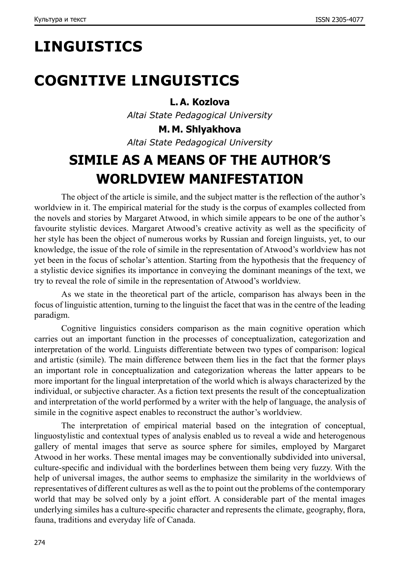# **LINGUISTICS**

## **COGNITIVE LINGUISTICS**

**L.A. Kozlova**

*Altai State Pedagogical University*

**M. M. Shlyakhova** *Altai State Pedagogical University*

## **SIMILE AS A MEANS OF THE AUTHOR'S WORLDVIEW MANIFESTATION**

The object of the article is simile, and the subject matter is the reflection of the author's worldview in it. The empirical material for the study is the corpus of examples collected from the novels and stories by Margaret Atwood, in which simile appears to be one of the author's favourite stylistic devices. Margaret Atwood's creative activity as well as the specificity of her style has been the object of numerous works by Russian and foreign linguists, yet, to our knowledge, the issue of the role of simile in the representation of Atwood's worldview has not yet been in the focus of scholar's attention. Starting from the hypothesis that the frequency of a stylistic device signifies its importance in conveying the dominant meanings of the text, we try to reveal the role of simile in the representation of Atwood's worldview.

As we state in the theoretical part of the article, comparison has always been in the focus of linguistic attention, turning to the linguist the facet that was in the centre of the leading paradigm.

Cognitive linguistics considers comparison as the main cognitive operation which carries out an important function in the processes of conceptualization, categorization and interpretation of the world. Linguists differentiate between two types of comparison: logical and artistic (simile). The main difference between them lies in the fact that the former plays an important role in conceptualization and categorization whereas the latter appears to be more important for the lingual interpretation of the world which is always characterized by the individual, or subjective character. As a fiction text presents the result of the conceptualization and interpretation of the world performed by a writer with the help of language, the analysis of simile in the cognitive aspect enables to reconstruct the author's worldview.

The interpretation of empirical material based on the integration of conceptual, linguostylistic and contextual types of analysis enabled us to reveal a wide and heterogenous gallery of mental images that serve as source sphere for similes, employed by Margaret Atwood in her works. These mental images may be conventionally subdivided into universal, culture-specific and individual with the borderlines between them being very fuzzy. With the help of universal images, the author seems to emphasize the similarity in the worldviews of representatives of different cultures as well as the to point out the problems of the contemporary world that may be solved only by a joint effort. A considerable part of the mental images underlying similes has a culture-specific character and represents the climate, geography, flora, fauna, traditions and everyday life of Canada.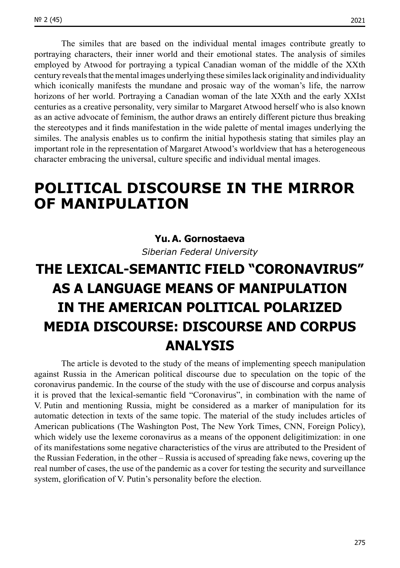The similes that are based on the individual mental images contribute greatly to portraying characters, their inner world and their emotional states. The analysis of similes employed by Atwood for portraying a typical Canadian woman of the middle of the XXth century reveals that the mental images underlying these similes lack originality and individuality which iconically manifests the mundane and prosaic way of the woman's life, the narrow horizons of her world. Portraying a Canadian woman of the late XXth and the early XXIst centuries as a creative personality, very similar to Margaret Atwood herself who is also known as an active advocate of feminism, the author draws an entirely different picture thus breaking the stereotypes and it finds manifestation in the wide palette of mental images underlying the similes. The analysis enables us to confirm the initial hypоthesis stating that similes play an important role in the representation of Margaret Atwood's worldview that has a heterogeneous character embracing the universal, culture specific and individual mental images.

### **POLITICAL DISCOURSE IN THE MIRROR OF MANIPULATION**

#### **Yu.A. Gornostaeva**

*Siberian Federal University*

# **THE LEXICAL-SEMANTIC FIELD "CORONAVIRUS" AS A LANGUAGE MEANS OF MANIPULATION IN THE AMERICAN POLITICAL POLARIZED MEDIA DISCOURSE: DISCOURSE AND CORPUS ANALYSIS**

The article is devoted to the study of the means of implementing speech manipulation against Russia in the American political discourse due to speculation on the topic of the coronavirus pandemic. In the course of the study with the use of discourse and corpus analysis it is proved that the lexical-semantic field "Coronavirus", in combination with the name of V. Putin and mentioning Russia, might be considered as a marker of manipulation for its automatic detection in texts of the same topic. The material of the study includes articles of American publications (The Washington Post, The New York Times, CNN, Foreign Policy), which widely use the lexeme coronavirus as a means of the opponent deligitimization: in one of its manifestations some negative characteristics of the virus are attributed to the President of the Russian Federation, in the other – Russia is accused of spreading fake news, covering up the real number of cases, the use of the pandemic as a cover for testing the security and surveillance system, glorification of V. Putin's personality before the election.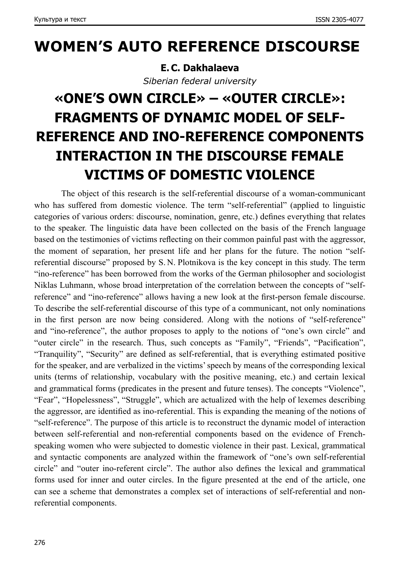### **WOMEN'S AUTO REFERENCE DISCOURSE**

**E.C. Dakhalaeva** *Siberian federal university*

# **«ONE'S OWN CIRCLE» – «OUTER CIRCLE»: FRAGMENTS OF DYNAMIC MODEL OF SELF-REFERENCE AND INO-REFERENCE COMPONENTS INTERACTION IN THE DISCOURSE FEMALE VICTIMS OF DOMESTIC VIOLENCE**

The object of this research is the self-referential discourse of a woman-communicant who has suffered from domestic violence. The term "self-referential" (applied to linguistic categories of various orders: discourse, nomination, genre, etc.) defines everything that relates to the speaker. The linguistic data have been collected on the basis of the French language based on the testimonies of victims reflecting on their common painful past with the aggressor, the moment of separation, her present life and her plans for the future. The notion "selfreferential discourse" proposed by S. N. Plotnikova is the key concept in this study. The term "ino-reference" has been borrowed from the works of the German philosopher and sociologist Niklas Luhmann, whose broad interpretation of the correlation between the concepts of "selfreference" and "ino-reference" allows having a new look at the first-person female discourse. To describe the self-referential discourse of this type of a communicant, not only nominations in the first person are now being considered. Along with the notions of "self-reference" and "ino-reference", the author proposes to apply to the notions of "one's own circle" and "outer circle" in the research. Thus, such concepts as "Family", "Friends", "Pacification", "Tranquility", "Security" are defined as self-referential, that is everything estimated positive for the speaker, and are verbalized in the victims' speech by means of the corresponding lexical units (terms of relationship, vocabulary with the positive meaning, etc.) and certain lexical and grammatical forms (predicates in the present and future tenses). The concepts "Violence", "Fear", "Hopelessness", "Struggle", which are actualized with the help of lexemes describing the aggressor, are identified as ino-referential. This is expanding the meaning of the notions of "self-reference". The purpose of this article is to reconstruct the dynamic model of interaction between self-referential and non-referential components based on the evidence of Frenchspeaking women who were subjected to domestic violence in their past. Lexical, grammatical and syntactic components are analyzed within the framework of "one's own self-referential circle" and "outer ino-referent circle". The author also defines the lexical and grammatical forms used for inner and outer circles. In the figure presented at the end of the article, one can see a scheme that demonstrates a complex set of interactions of self-referential and nonreferential components.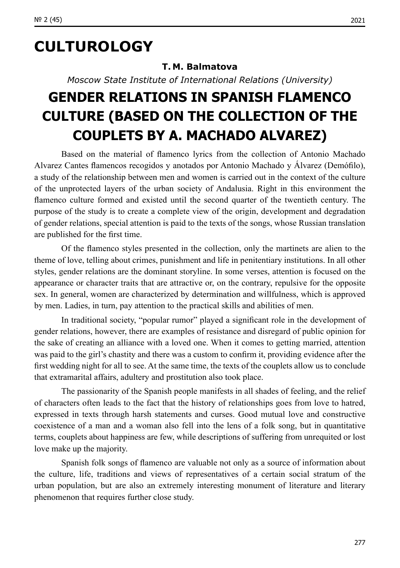## **CULTUROLOGY**

#### **T. M. Balmatova**

*Moscow State Institute of International Relations (University)*

## **GENDER RELATIONS IN SPANISH FLAMENCO CULTURE (BASED ON THE COLLECTION OF THE COUPLETS BY A. MACHADO ALVAREZ)**

Based on the material of flamenco lyrics from the collection of Antonio Machado Alvarez Cantes flamencos recogidos y anotados por Antonio Machado y Álvarez (Demófilo), a study of the relationship between men and women is carried out in the context of the culture of the unprotected layers of the urban society of Andalusia. Right in this environment the flamenco culture formed and existed until the second quarter of the twentieth century. The purpose of the study is to create a complete view of the origin, development and degradation of gender relations, special attention is paid to the texts of the songs, whose Russian translation are published for the first time.

Of the flamenco styles presented in the collection, only the martinets are alien to the theme of love, telling about crimes, punishment and life in penitentiary institutions. In all other styles, gender relations are the dominant storyline. In some verses, attention is focused on the appearance or character traits that are attractive or, on the contrary, repulsive for the opposite sex. In general, women are characterized by determination and willfulness, which is approved by men. Ladies, in turn, pay attention to the practical skills and abilities of men.

In traditional society, "popular rumor" played a significant role in the development of gender relations, however, there are examples of resistance and disregard of public opinion for the sake of creating an alliance with a loved one. When it comes to getting married, attention was paid to the girl's chastity and there was a custom to confirm it, providing evidence after the first wedding night for all to see. At the same time, the texts of the couplets allow us to conclude that extramarital affairs, adultery and prostitution also took place.

The passionarity of the Spanish people manifests in all shades of feeling, and the relief of characters often leads to the fact that the history of relationships goes from love to hatred, expressed in texts through harsh statements and curses. Good mutual love and constructive coexistence of a man and a woman also fell into the lens of a folk song, but in quantitative terms, couplets about happiness are few, while descriptions of suffering from unrequited or lost love make up the majority.

Spanish folk songs of flamenco are valuable not only as a source of information about the culture, life, traditions and views of representatives of a certain social stratum of the urban population, but are also an extremely interesting monument of literature and literary phenomenon that requires further close study.